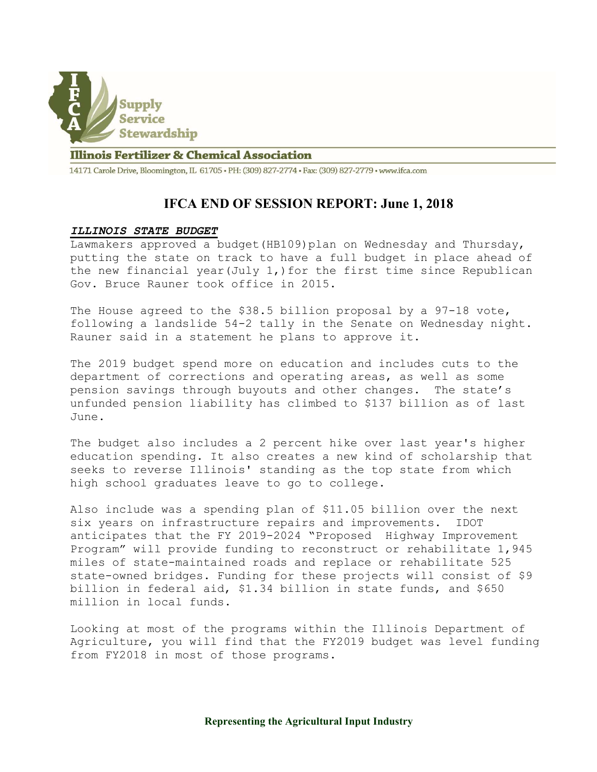

## **Illinois Fertilizer & Chemical Association**

14171 Carole Drive, Bloomington, IL 61705 · PH: (309) 827-2774 · Fax: (309) 827-2779 · www.ifca.com

## IFCA END OF SESSION REPORT: June 1, 2018

## ILLINOIS STATE BUDGET

Lawmakers approved a budget(HB109)plan on Wednesday and Thursday, putting the state on track to have a full budget in place ahead of the new financial year(July  $1$ ,) for the first time since Republican Gov. Bruce Rauner took office in 2015.

The House agreed to the \$38.5 billion proposal by a 97-18 vote, following a landslide 54-2 tally in the Senate on Wednesday night. Rauner said in a statement he plans to approve it.

The 2019 budget spend more on education and includes cuts to the department of corrections and operating areas, as well as some pension savings through buyouts and other changes. The state's unfunded pension liability has climbed to \$137 billion as of last June.

The budget also includes a 2 percent hike over last year's higher education spending. It also creates a new kind of scholarship that seeks to reverse Illinois' standing as the top state from which high school graduates leave to go to college.

Also include was a spending plan of \$11.05 billion over the next six years on infrastructure repairs and improvements. IDOT anticipates that the FY 2019-2024 "Proposed Highway Improvement Program" will provide funding to reconstruct or rehabilitate 1,945 miles of state-maintained roads and replace or rehabilitate 525 state-owned bridges. Funding for these projects will consist of \$9 billion in federal aid, \$1.34 billion in state funds, and \$650 million in local funds.

Looking at most of the programs within the Illinois Department of Agriculture, you will find that the FY2019 budget was level funding from FY2018 in most of those programs.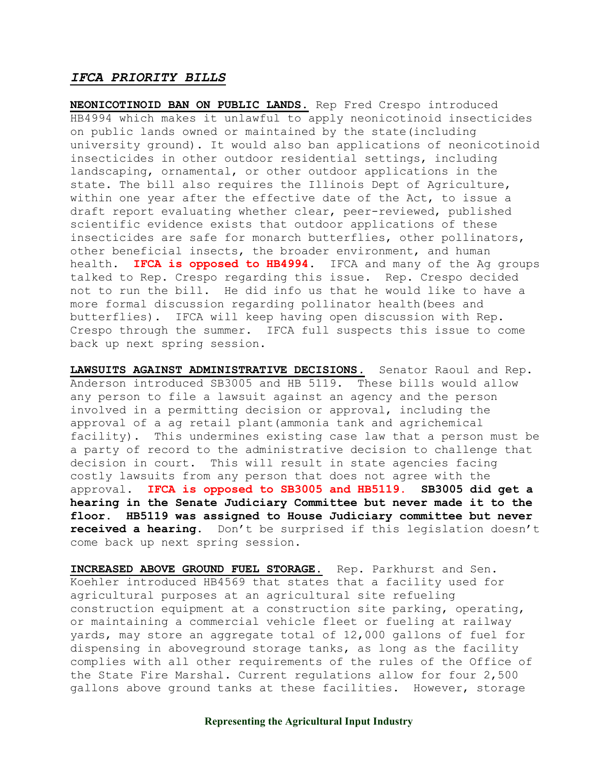## IFCA PRIORITY BILLS

NEONICOTINOID BAN ON PUBLIC LANDS. Rep Fred Crespo introduced HB4994 which makes it unlawful to apply neonicotinoid insecticides on public lands owned or maintained by the state(including university ground). It would also ban applications of neonicotinoid insecticides in other outdoor residential settings, including landscaping, ornamental, or other outdoor applications in the state. The bill also requires the Illinois Dept of Agriculture, within one year after the effective date of the Act, to issue a draft report evaluating whether clear, peer-reviewed, published scientific evidence exists that outdoor applications of these insecticides are safe for monarch butterflies, other pollinators, other beneficial insects, the broader environment, and human health. IFCA is opposed to HB4994. IFCA and many of the Ag groups talked to Rep. Crespo regarding this issue. Rep. Crespo decided not to run the bill. He did info us that he would like to have a more formal discussion regarding pollinator health(bees and butterflies). IFCA will keep having open discussion with Rep. Crespo through the summer. IFCA full suspects this issue to come back up next spring session.

LAWSUITS AGAINST ADMINISTRATIVE DECISIONS. Senator Raoul and Rep. Anderson introduced SB3005 and HB 5119. These bills would allow any person to file a lawsuit against an agency and the person involved in a permitting decision or approval, including the approval of a ag retail plant(ammonia tank and agrichemical facility). This undermines existing case law that a person must be a party of record to the administrative decision to challenge that decision in court. This will result in state agencies facing costly lawsuits from any person that does not agree with the approval. IFCA is opposed to SB3005 and HB5119. SB3005 did get a hearing in the Senate Judiciary Committee but never made it to the floor. HB5119 was assigned to House Judiciary committee but never received a hearing. Don't be surprised if this legislation doesn't come back up next spring session.

INCREASED ABOVE GROUND FUEL STORAGE. Rep. Parkhurst and Sen. Koehler introduced HB4569 that states that a facility used for agricultural purposes at an agricultural site refueling construction equipment at a construction site parking, operating, or maintaining a commercial vehicle fleet or fueling at railway yards, may store an aggregate total of 12,000 gallons of fuel for dispensing in aboveground storage tanks, as long as the facility complies with all other requirements of the rules of the Office of the State Fire Marshal. Current regulations allow for four 2,500 gallons above ground tanks at these facilities. However, storage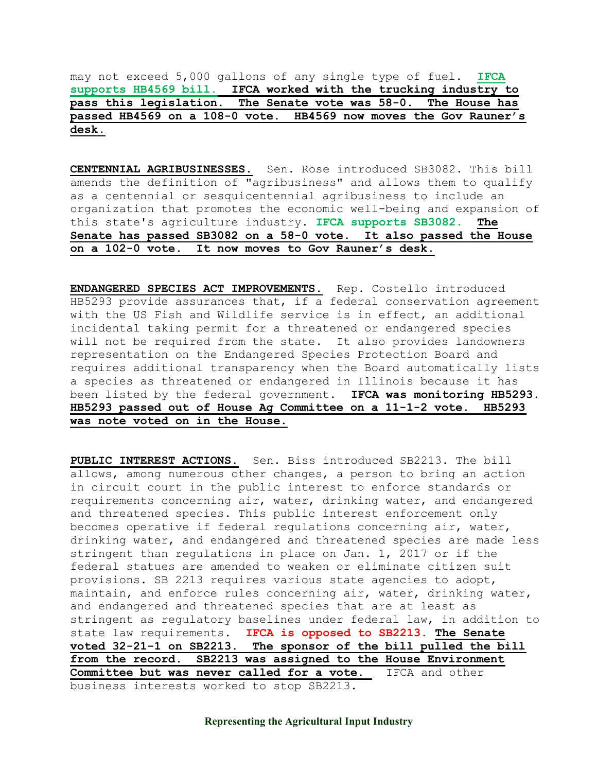may not exceed 5,000 gallons of any single type of fuel. IFCA supports HB4569 bill. IFCA worked with the trucking industry to pass this legislation. The Senate vote was 58-0. The House has passed HB4569 on a 108-0 vote. HB4569 now moves the Gov Rauner's desk.

CENTENNIAL AGRIBUSINESSES. Sen. Rose introduced SB3082. This bill amends the definition of "agribusiness" and allows them to qualify as a centennial or sesquicentennial agribusiness to include an organization that promotes the economic well-being and expansion of this state's agriculture industry. IFCA supports SB3082. The Senate has passed SB3082 on a 58-0 vote. It also passed the House on a 102-0 vote. It now moves to Gov Rauner's desk.

ENDANGERED SPECIES ACT IMPROVEMENTS. Rep. Costello introduced HB5293 provide assurances that, if a federal conservation agreement with the US Fish and Wildlife service is in effect, an additional incidental taking permit for a threatened or endangered species will not be required from the state. It also provides landowners representation on the Endangered Species Protection Board and requires additional transparency when the Board automatically lists a species as threatened or endangered in Illinois because it has been listed by the federal government. IFCA was monitoring HB5293. HB5293 passed out of House Ag Committee on a 11-1-2 vote. HB5293 was note voted on in the House.

PUBLIC INTEREST ACTIONS. Sen. Biss introduced SB2213. The bill allows, among numerous other changes, a person to bring an action in circuit court in the public interest to enforce standards or requirements concerning air, water, drinking water, and endangered and threatened species. This public interest enforcement only becomes operative if federal regulations concerning air, water, drinking water, and endangered and threatened species are made less stringent than regulations in place on Jan. 1, 2017 or if the federal statues are amended to weaken or eliminate citizen suit provisions. SB 2213 requires various state agencies to adopt, maintain, and enforce rules concerning air, water, drinking water, and endangered and threatened species that are at least as stringent as regulatory baselines under federal law, in addition to state law requirements. IFCA is opposed to SB2213. The Senate voted 32-21-1 on SB2213. The sponsor of the bill pulled the bill from the record. SB2213 was assigned to the House Environment Committee but was never called for a vote. IFCA and other business interests worked to stop SB2213.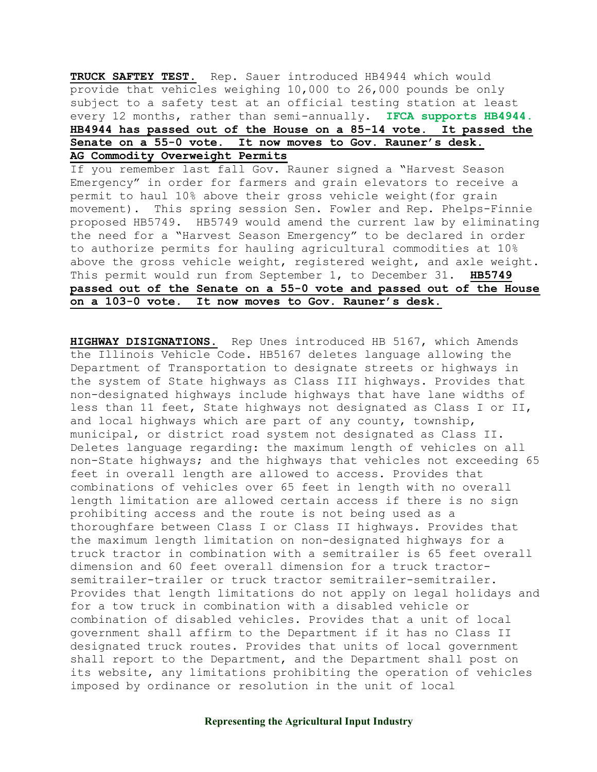TRUCK SAFTEY TEST. Rep. Sauer introduced HB4944 which would provide that vehicles weighing 10,000 to 26,000 pounds be only subject to a safety test at an official testing station at least every 12 months, rather than semi-annually. IFCA supports HB4944. HB4944 has passed out of the House on a 85-14 vote. It passed the Senate on a 55-0 vote. It now moves to Gov. Rauner's desk. AG Commodity Overweight Permits

If you remember last fall Gov. Rauner signed a "Harvest Season Emergency" in order for farmers and grain elevators to receive a permit to haul 10% above their gross vehicle weight(for grain movement). This spring session Sen. Fowler and Rep. Phelps-Finnie proposed HB5749. HB5749 would amend the current law by eliminating the need for a "Harvest Season Emergency" to be declared in order to authorize permits for hauling agricultural commodities at 10% above the gross vehicle weight, registered weight, and axle weight. This permit would run from September 1, to December 31. HB5749 passed out of the Senate on a 55-0 vote and passed out of the House on a 103-0 vote. It now moves to Gov. Rauner's desk.

HIGHWAY DISIGNATIONS. Rep Unes introduced HB 5167, which Amends the Illinois Vehicle Code. HB5167 deletes language allowing the Department of Transportation to designate streets or highways in the system of State highways as Class III highways. Provides that non-designated highways include highways that have lane widths of less than 11 feet, State highways not designated as Class I or II, and local highways which are part of any county, township, municipal, or district road system not designated as Class II. Deletes language regarding: the maximum length of vehicles on all non-State highways; and the highways that vehicles not exceeding 65 feet in overall length are allowed to access. Provides that combinations of vehicles over 65 feet in length with no overall length limitation are allowed certain access if there is no sign prohibiting access and the route is not being used as a thoroughfare between Class I or Class II highways. Provides that the maximum length limitation on non-designated highways for a truck tractor in combination with a semitrailer is 65 feet overall dimension and 60 feet overall dimension for a truck tractorsemitrailer-trailer or truck tractor semitrailer-semitrailer. Provides that length limitations do not apply on legal holidays and for a tow truck in combination with a disabled vehicle or combination of disabled vehicles. Provides that a unit of local government shall affirm to the Department if it has no Class II designated truck routes. Provides that units of local government shall report to the Department, and the Department shall post on its website, any limitations prohibiting the operation of vehicles imposed by ordinance or resolution in the unit of local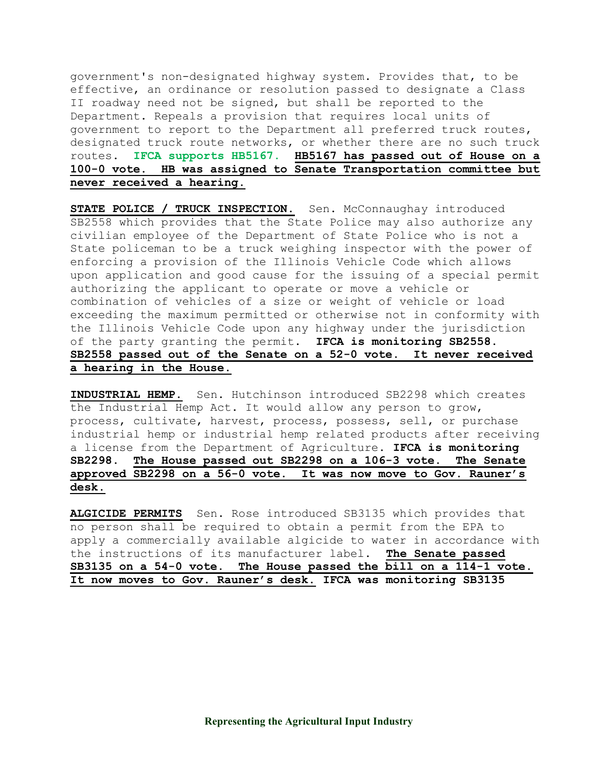government's non-designated highway system. Provides that, to be effective, an ordinance or resolution passed to designate a Class II roadway need not be signed, but shall be reported to the Department. Repeals a provision that requires local units of government to report to the Department all preferred truck routes, designated truck route networks, or whether there are no such truck routes. IFCA supports HB5167. HB5167 has passed out of House on a 100-0 vote. HB was assigned to Senate Transportation committee but never received a hearing.

STATE POLICE / TRUCK INSPECTION. Sen. McConnaughay introduced SB2558 which provides that the State Police may also authorize any civilian employee of the Department of State Police who is not a State policeman to be a truck weighing inspector with the power of enforcing a provision of the Illinois Vehicle Code which allows upon application and good cause for the issuing of a special permit authorizing the applicant to operate or move a vehicle or combination of vehicles of a size or weight of vehicle or load exceeding the maximum permitted or otherwise not in conformity with the Illinois Vehicle Code upon any highway under the jurisdiction of the party granting the permit. IFCA is monitoring SB2558. SB2558 passed out of the Senate on a 52-0 vote. It never received a hearing in the House.

INDUSTRIAL HEMP. Sen. Hutchinson introduced SB2298 which creates the Industrial Hemp Act. It would allow any person to grow, process, cultivate, harvest, process, possess, sell, or purchase industrial hemp or industrial hemp related products after receiving a license from the Department of Agriculture. IFCA is monitoring SB2298. The House passed out SB2298 on a 106-3 vote. The Senate approved SB2298 on a 56-0 vote. It was now move to Gov. Rauner's desk.

ALGICIDE PERMITS Sen. Rose introduced SB3135 which provides that no person shall be required to obtain a permit from the EPA to apply a commercially available algicide to water in accordance with the instructions of its manufacturer label. The Senate passed SB3135 on a 54-0 vote. The House passed the bill on a 114-1 vote. It now moves to Gov. Rauner's desk. IFCA was monitoring SB3135